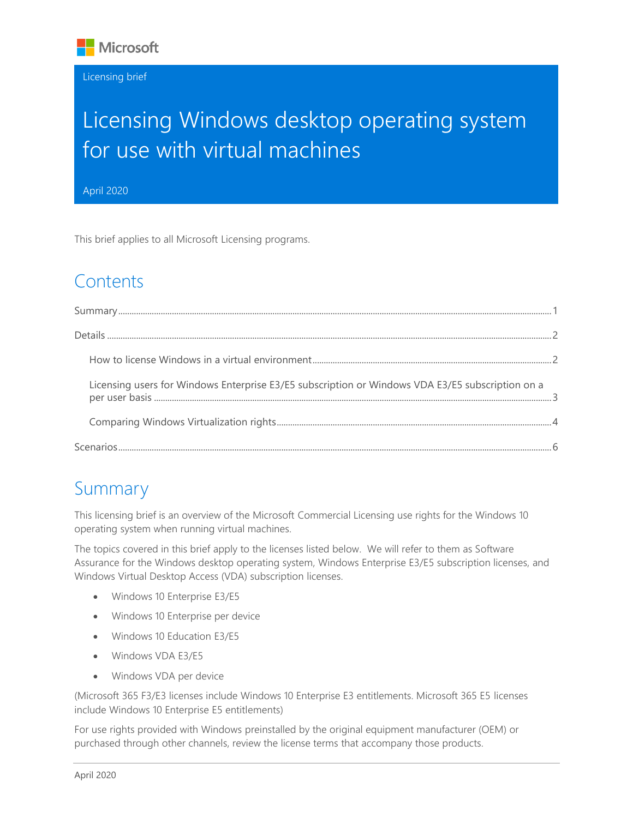

#### Licensing brief

# Licensing Windows desktop operating system for use with virtual machines

April 2020

This brief applies to all Microsoft Licensing programs. April 2020

## **Contents**

| Licensing users for Windows Enterprise E3/E5 subscription or Windows VDA E3/E5 subscription on a |  |
|--------------------------------------------------------------------------------------------------|--|
|                                                                                                  |  |
|                                                                                                  |  |

### <span id="page-0-0"></span>Summary

This licensing brief is an overview of the Microsoft Commercial Licensing use rights for the Windows 10 operating system when running virtual machines.

The topics covered in this brief apply to the licenses listed below. We will refer to them as Software Assurance for the Windows desktop operating system, Windows Enterprise E3/E5 subscription licenses, and Windows Virtual Desktop Access (VDA) subscription licenses.

- Windows 10 Enterprise E3/E5
- Windows 10 Enterprise per device
- Windows 10 Education E3/E5
- Windows VDA F3/F5
- Windows VDA per device

(Microsoft 365 F3/E3 licenses include Windows 10 Enterprise E3 entitlements. Microsoft 365 E5 licenses include Windows 10 Enterprise E5 entitlements)

For use rights provided with Windows preinstalled by the original equipment manufacturer (OEM) or purchased through other channels, review the license terms that accompany those products.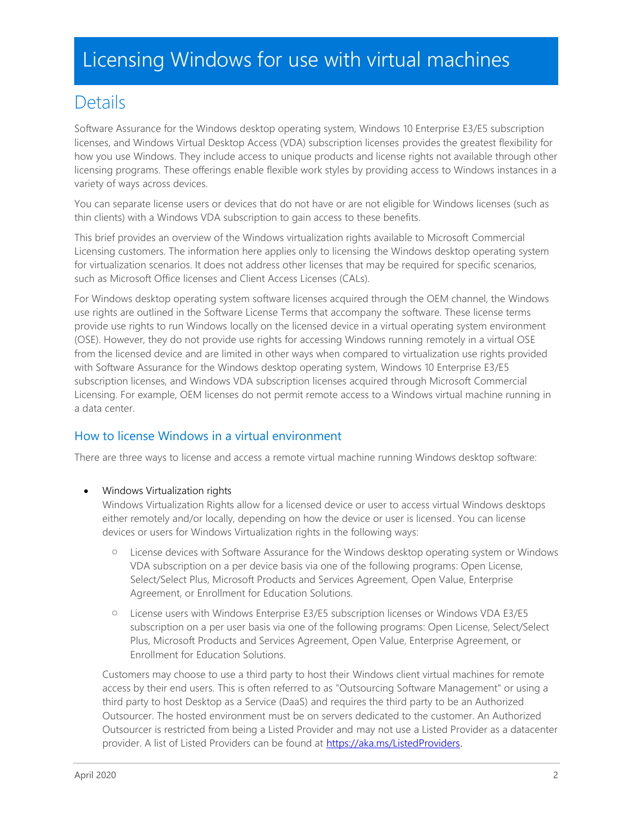### <span id="page-1-0"></span>**Details**

Software Assurance for the Windows desktop operating system, Windows 10 Enterprise E3/E5 subscription licenses, and Windows Virtual Desktop Access (VDA) subscription licenses provides the greatest flexibility for how you use Windows. They include access to unique products and license rights not available through other licensing programs. These offerings enable flexible work styles by providing access to Windows instances in a variety of ways across devices.

You can separate license users or devices that do not have or are not eligible for Windows licenses (such as thin clients) with a Windows VDA subscription to gain access to these benefits.

This brief provides an overview of the Windows virtualization rights available to Microsoft Commercial Licensing customers. The information here applies only to licensing the Windows desktop operating system for virtualization scenarios. It does not address other licenses that may be required for specific scenarios, such as Microsoft Office licenses and Client Access Licenses (CALs).

For Windows desktop operating system software licenses acquired through the OEM channel, the Windows use rights are outlined in the Software License Terms that accompany the software. These license terms provide use rights to run Windows locally on the licensed device in a virtual operating system environment (OSE). However, they do not provide use rights for accessing Windows running remotely in a virtual OSE from the licensed device and are limited in other ways when compared to virtualization use rights provided with Software Assurance for the Windows desktop operating system, Windows 10 Enterprise E3/E5 subscription licenses, and Windows VDA subscription licenses acquired through Microsoft Commercial Licensing. For example, OEM licenses do not permit remote access to a Windows virtual machine running in a data center.

#### <span id="page-1-1"></span>How to license Windows in a virtual environment

There are three ways to license and access a remote virtual machine running Windows desktop software:

• Windows Virtualization rights

Windows Virtualization Rights allow for a licensed device or user to access virtual Windows desktops either remotely and/or locally, depending on how the device or user is licensed. You can license devices or users for Windows Virtualization rights in the following ways:

- o License devices with Software Assurance for the Windows desktop operating system or Windows VDA subscription on a per device basis via one of the following programs: Open License, Select/Select Plus, Microsoft Products and Services Agreement, Open Value, Enterprise Agreement, or Enrollment for Education Solutions.
- o License users with Windows Enterprise E3/E5 subscription licenses or Windows VDA E3/E5 subscription on a per user basis via one of the following programs: Open License, Select/Select Plus, Microsoft Products and Services Agreement, Open Value, Enterprise Agreement, or Enrollment for Education Solutions.

Customers may choose to use a third party to host their Windows client virtual machines for remote access by their end users. This is often referred to as "Outsourcing Software Management" or using a third party to host Desktop as a Service (DaaS) and requires the third party to be an Authorized Outsourcer. The hosted environment must be on servers dedicated to the customer. An Authorized Outsourcer is restricted from being a Listed Provider and may not use a Listed Provider as a datacenter provider. A list of Listed Providers can be found at [https://aka.ms/ListedProviders.](https://aka.ms/ListedProviders)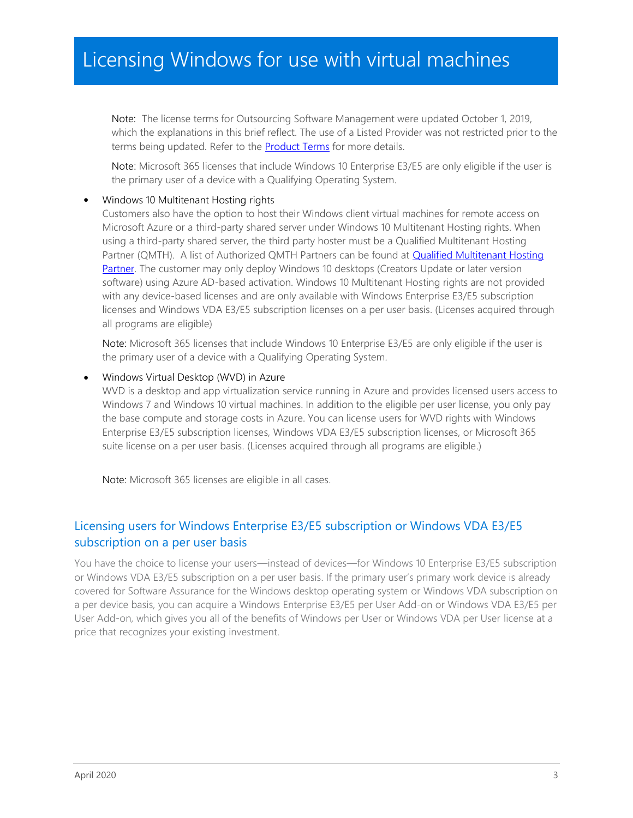Note: The license terms for Outsourcing Software Management were updated October 1, 2019, which the explanations in this brief reflect. The use of a Listed Provider was not restricted prior to the terms being updated. Refer to the **[Product Terms](https://www.microsoft.com/en-us/licensing/product-licensing/products)** for more details.

Note: Microsoft 365 licenses that include Windows 10 Enterprise E3/E5 are only eligible if the user is the primary user of a device with a Qualifying Operating System.

#### • Windows 10 Multitenant Hosting rights

Customers also have the option to host their Windows client virtual machines for remote access on Microsoft Azure or a third-party shared server under Windows 10 Multitenant Hosting rights. When using a third-party shared server, the third party hoster must be a Qualified Multitenant Hosting Partner (QMTH). A list of Authorized QMTH Partners can be found at **Qualified Multitenant Hosting** [Partner.](https://www.microsoft.com/Qualified_Multitenant_Hoster_Program) The customer may only deploy Windows 10 desktops (Creators Update or later version software) using Azure AD-based activation. Windows 10 Multitenant Hosting rights are not provided with any device-based licenses and are only available with Windows Enterprise E3/E5 subscription licenses and Windows VDA E3/E5 subscription licenses on a per user basis. (Licenses acquired through all programs are eligible)

Note: Microsoft 365 licenses that include Windows 10 Enterprise E3/E5 are only eligible if the user is the primary user of a device with a Qualifying Operating System.

#### • Windows Virtual Desktop (WVD) in Azure

WVD is a desktop and app virtualization service running in Azure and provides licensed users access to Windows 7 and Windows 10 virtual machines. In addition to the eligible per user license, you only pay the base compute and storage costs in Azure. You can license users for WVD rights with Windows Enterprise E3/E5 subscription licenses, Windows VDA E3/E5 subscription licenses, or Microsoft 365 suite license on a per user basis. (Licenses acquired through all programs are eligible.)

Note: Microsoft 365 licenses are eligible in all cases.

#### <span id="page-2-0"></span>Licensing users for Windows Enterprise E3/E5 subscription or Windows VDA E3/E5 subscription on a per user basis

You have the choice to license your users—instead of devices—for Windows 10 Enterprise E3/E5 subscription or Windows VDA E3/E5 subscription on a per user basis. If the primary user's primary work device is already covered for Software Assurance for the Windows desktop operating system or Windows VDA subscription on a per device basis, you can acquire a Windows Enterprise E3/E5 per User Add-on or Windows VDA E3/E5 per User Add-on, which gives you all of the benefits of Windows per User or Windows VDA per User license at a price that recognizes your existing investment.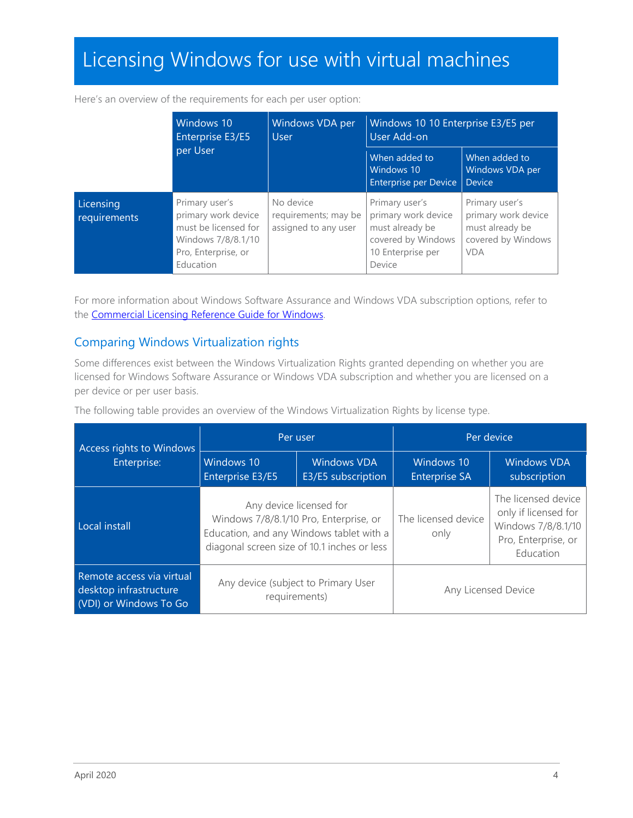|                           | Windows 10<br>Windows VDA per<br>Enterprise E3/E5<br><b>User</b>                                                        | Windows 10 10 Enterprise E3/E5 per<br>User Add-on           |                                                                                                               |                                                                                              |
|---------------------------|-------------------------------------------------------------------------------------------------------------------------|-------------------------------------------------------------|---------------------------------------------------------------------------------------------------------------|----------------------------------------------------------------------------------------------|
| per User                  |                                                                                                                         | When added to<br>Windows 10<br>Enterprise per Device Device | When added to<br>Windows VDA per                                                                              |                                                                                              |
| Licensing<br>requirements | Primary user's<br>primary work device<br>must be licensed for<br>Windows 7/8/8.1/10<br>Pro, Enterprise, or<br>Education | No device<br>requirements; may be<br>assigned to any user   | Primary user's<br>primary work device<br>must already be<br>covered by Windows<br>10 Enterprise per<br>Device | Primary user's<br>primary work device<br>must already be<br>covered by Windows<br><b>VDA</b> |

For more information about Windows Software Assurance and Windows VDA subscription options, refer to the Commercial Licensing [Reference Guide for Windows.](https://download.microsoft.com/download/2/D/1/2D14FE17-66C2-4D4C-AF73-E122930B60F6/Windows-10-Volume-Licensing-Guide.pdf)

#### <span id="page-3-0"></span>Comparing Windows Virtualization rights

Some differences exist between the Windows Virtualization Rights granted depending on whether you are licensed for Windows Software Assurance or Windows VDA subscription and whether you are licensed on a per device or per user basis.

The following table provides an overview of the Windows Virtualization Rights by license type.

| Access rights to Windows                                                      | Per user                                                                                                                                                     |                                          | Per device                         |                                                                                                       |
|-------------------------------------------------------------------------------|--------------------------------------------------------------------------------------------------------------------------------------------------------------|------------------------------------------|------------------------------------|-------------------------------------------------------------------------------------------------------|
| Enterprise:                                                                   | Windows 10<br>Enterprise E3/E5                                                                                                                               | <b>Windows VDA</b><br>E3/E5 subscription | Windows 10<br><b>Enterprise SA</b> | <b>Windows VDA</b><br>subscription                                                                    |
| Local install                                                                 | Any device licensed for<br>Windows 7/8/8.1/10 Pro, Enterprise, or<br>Education, and any Windows tablet with a<br>diagonal screen size of 10.1 inches or less |                                          | The licensed device<br>only        | The licensed device<br>only if licensed for<br>Windows 7/8/8.1/10<br>Pro, Enterprise, or<br>Education |
| Remote access via virtual<br>desktop infrastructure<br>(VDI) or Windows To Go | Any device (subject to Primary User<br>requirements)                                                                                                         |                                          |                                    | Any Licensed Device                                                                                   |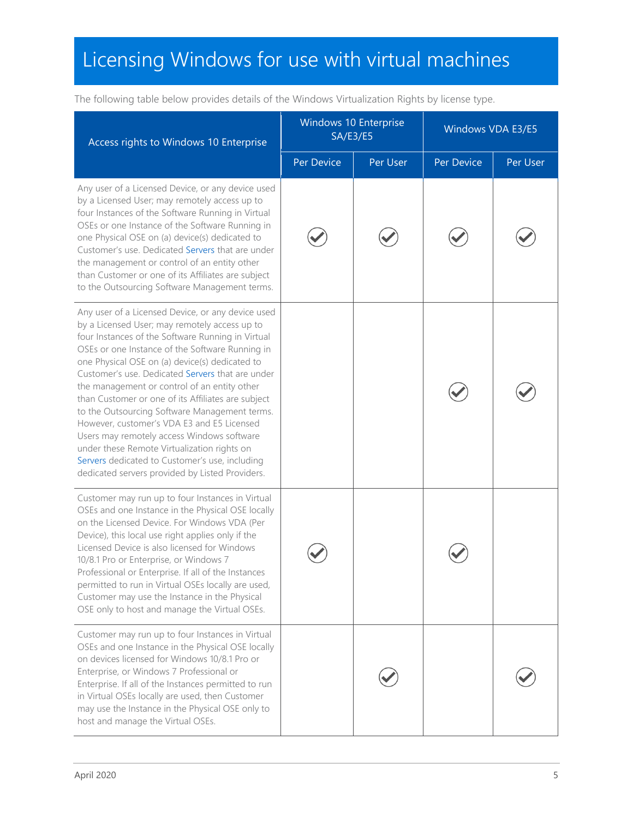Access rights to Windows 10 Enterprise Windows 10 Enterprise ws to Effer prise<br>SA/E3/E5 Windows VDA E3/E5 Per Device Per User Per Device Per User Any user of a Licensed Device, or any device used by a Licensed User; may remotely access up to four Instances of the Software Running in Virtual OSEs or one Instance of the Software Running in one Physical OSE on (a) device(s) dedicated to Customer's use. Dedicated Servers that are under the management or control of an entity other than Customer or one of its Affiliates are subject to the Outsourcing Software Management terms. Any user of a Licensed Device, or any device used by a Licensed User; may remotely access up to four Instances of the Software Running in Virtual OSEs or one Instance of the Software Running in one Physical OSE on (a) device(s) dedicated to Customer's use. Dedicated Servers that are under the management or control of an entity other than Customer or one of its Affiliates are subject to the Outsourcing Software Management terms. However, customer's VDA E3 and E5 Licensed Users may remotely access Windows software under these Remote Virtualization rights on Servers dedicated to Customer's use, including dedicated servers provided by Listed Providers. Customer may run up to four Instances in Virtual OSEs and one Instance in the Physical OSE locally on the Licensed Device. For Windows VDA (Per Device), this local use right applies only if the Licensed Device is also licensed for Windows 10/8.1 Pro or Enterprise, or Windows 7 Professional or Enterprise. If all of the Instances permitted to run in Virtual OSEs locally are used, Customer may use the Instance in the Physical OSE only to host and manage the Virtual OSEs. Customer may run up to four Instances in Virtual OSEs and one Instance in the Physical OSE locally on devices licensed for Windows 10/8.1 Pro or Enterprise, or Windows 7 Professional or Enterprise. If all of the Instances permitted to run in Virtual OSEs locally are used, then Customer may use the Instance in the Physical OSE only to host and manage the Virtual OSEs.

The following table below provides details of the Windows Virtualization Rights by license type.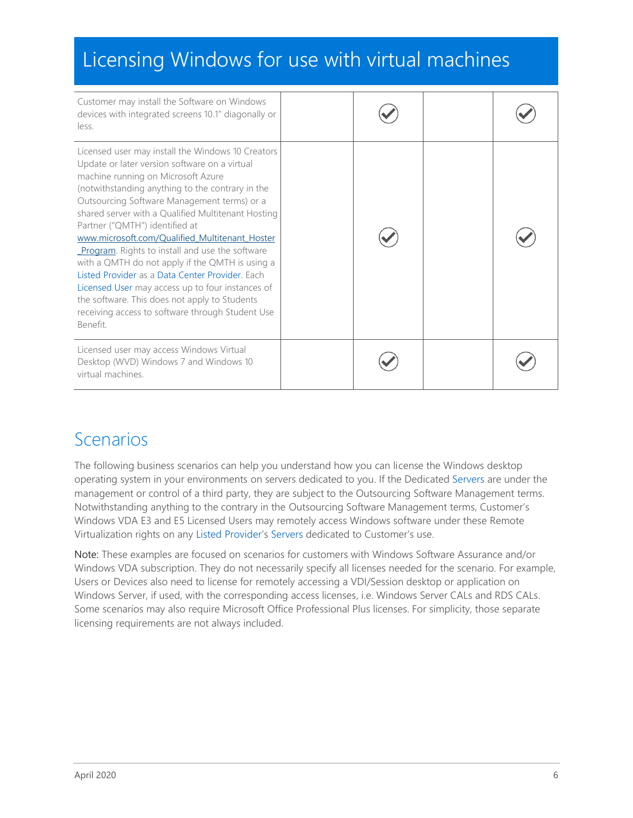| Customer may install the Software on Windows<br>devices with integrated screens 10.1" diagonally or<br>less.                                                                                                                                                                                                                                                                                                                                                                                                                                                                                                                                                                                                        |  |  |
|---------------------------------------------------------------------------------------------------------------------------------------------------------------------------------------------------------------------------------------------------------------------------------------------------------------------------------------------------------------------------------------------------------------------------------------------------------------------------------------------------------------------------------------------------------------------------------------------------------------------------------------------------------------------------------------------------------------------|--|--|
| Licensed user may install the Windows 10 Creators<br>Update or later version software on a virtual<br>machine running on Microsoft Azure<br>(notwithstanding anything to the contrary in the<br>Outsourcing Software Management terms) or a<br>shared server with a Qualified Multitenant Hosting<br>Partner ("QMTH") identified at<br>www.microsoft.com/Qualified Multitenant Hoster<br>Program. Rights to install and use the software<br>with a QMTH do not apply if the QMTH is using a<br>Listed Provider as a Data Center Provider, Each<br>Licensed User may access up to four instances of<br>the software. This does not apply to Students<br>receiving access to software through Student Use<br>Benefit. |  |  |
| Licensed user may access Windows Virtual<br>Desktop (WVD) Windows 7 and Windows 10<br>virtual machines.                                                                                                                                                                                                                                                                                                                                                                                                                                                                                                                                                                                                             |  |  |

### <span id="page-5-0"></span>Scenarios

The following business scenarios can help you understand how you can license the Windows desktop operating system in your environments on servers dedicated to you. If the Dedicated Servers are under the management or control of a third party, they are subject to the Outsourcing Software Management terms. Notwithstanding anything to the contrary in the Outsourcing Software Management terms, Customer's Windows VDA E3 and E5 Licensed Users may remotely access Windows software under these Remote Virtualization rights on any Listed Provider's Servers dedicated to Customer's use.

Note: These examples are focused on scenarios for customers with Windows Software Assurance and/or Windows VDA subscription. They do not necessarily specify all licenses needed for the scenario. For example, Users or Devices also need to license for remotely accessing a VDI/Session desktop or application on Windows Server, if used, with the corresponding access licenses, i.e. Windows Server CALs and RDS CALs. Some scenarios may also require Microsoft Office Professional Plus licenses. For simplicity, those separate licensing requirements are not always included.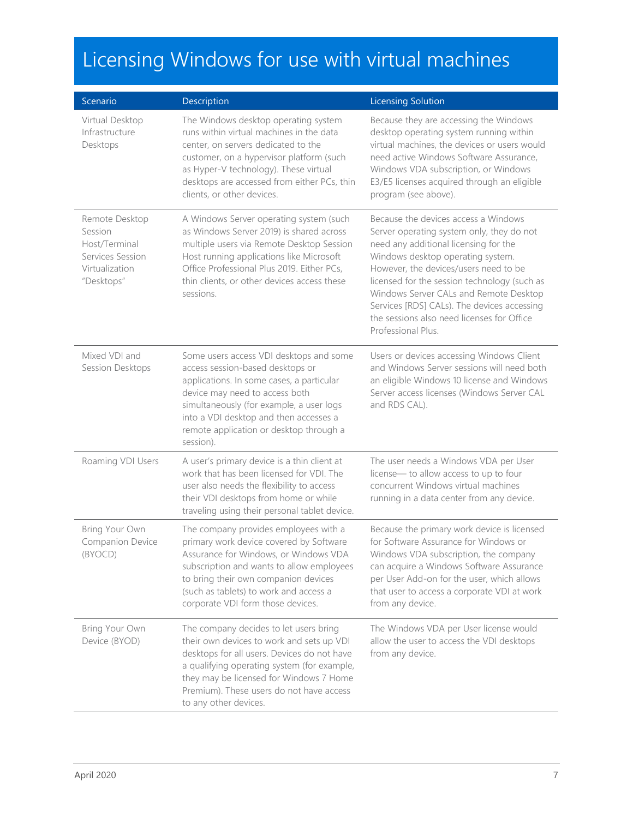| Scenario                                                                                       | Description                                                                                                                                                                                                                                                                                              | <b>Licensing Solution</b>                                                                                                                                                                                                                                                                                                                                                                                             |
|------------------------------------------------------------------------------------------------|----------------------------------------------------------------------------------------------------------------------------------------------------------------------------------------------------------------------------------------------------------------------------------------------------------|-----------------------------------------------------------------------------------------------------------------------------------------------------------------------------------------------------------------------------------------------------------------------------------------------------------------------------------------------------------------------------------------------------------------------|
| Virtual Desktop<br>Infrastructure<br>Desktops                                                  | The Windows desktop operating system<br>runs within virtual machines in the data<br>center, on servers dedicated to the<br>customer, on a hypervisor platform (such<br>as Hyper-V technology). These virtual<br>desktops are accessed from either PCs, thin<br>clients, or other devices.                | Because they are accessing the Windows<br>desktop operating system running within<br>virtual machines, the devices or users would<br>need active Windows Software Assurance,<br>Windows VDA subscription, or Windows<br>E3/E5 licenses acquired through an eligible<br>program (see above).                                                                                                                           |
| Remote Desktop<br>Session<br>Host/Terminal<br>Services Session<br>Virtualization<br>"Desktops" | A Windows Server operating system (such<br>as Windows Server 2019) is shared across<br>multiple users via Remote Desktop Session<br>Host running applications like Microsoft<br>Office Professional Plus 2019. Either PCs,<br>thin clients, or other devices access these<br>sessions.                   | Because the devices access a Windows<br>Server operating system only, they do not<br>need any additional licensing for the<br>Windows desktop operating system.<br>However, the devices/users need to be<br>licensed for the session technology (such as<br>Windows Server CALs and Remote Desktop<br>Services [RDS] CALs). The devices accessing<br>the sessions also need licenses for Office<br>Professional Plus. |
| Mixed VDI and<br>Session Desktops                                                              | Some users access VDI desktops and some<br>access session-based desktops or<br>applications. In some cases, a particular<br>device may need to access both<br>simultaneously (for example, a user logs<br>into a VDI desktop and then accesses a<br>remote application or desktop through a<br>session). | Users or devices accessing Windows Client<br>and Windows Server sessions will need both<br>an eligible Windows 10 license and Windows<br>Server access licenses (Windows Server CAL<br>and RDS CAL).                                                                                                                                                                                                                  |
| Roaming VDI Users                                                                              | A user's primary device is a thin client at<br>work that has been licensed for VDI. The<br>user also needs the flexibility to access<br>their VDI desktops from home or while<br>traveling using their personal tablet device.                                                                           | The user needs a Windows VDA per User<br>license-to allow access to up to four<br>concurrent Windows virtual machines<br>running in a data center from any device.                                                                                                                                                                                                                                                    |
| Bring Your Own<br>Companion Device<br>(BYOCD)                                                  | The company provides employees with a<br>primary work device covered by Software<br>Assurance for Windows, or Windows VDA<br>subscription and wants to allow employees<br>to bring their own companion devices<br>(such as tablets) to work and access a<br>corporate VDI form those devices.            | Because the primary work device is licensed<br>for Software Assurance for Windows or<br>Windows VDA subscription, the company<br>can acquire a Windows Software Assurance<br>per User Add-on for the user, which allows<br>that user to access a corporate VDI at work<br>from any device.                                                                                                                            |
| Bring Your Own<br>Device (BYOD)                                                                | The company decides to let users bring<br>their own devices to work and sets up VDI<br>desktops for all users. Devices do not have<br>a qualifying operating system (for example,<br>they may be licensed for Windows 7 Home<br>Premium). These users do not have access<br>to any other devices.        | The Windows VDA per User license would<br>allow the user to access the VDI desktops<br>from any device.                                                                                                                                                                                                                                                                                                               |